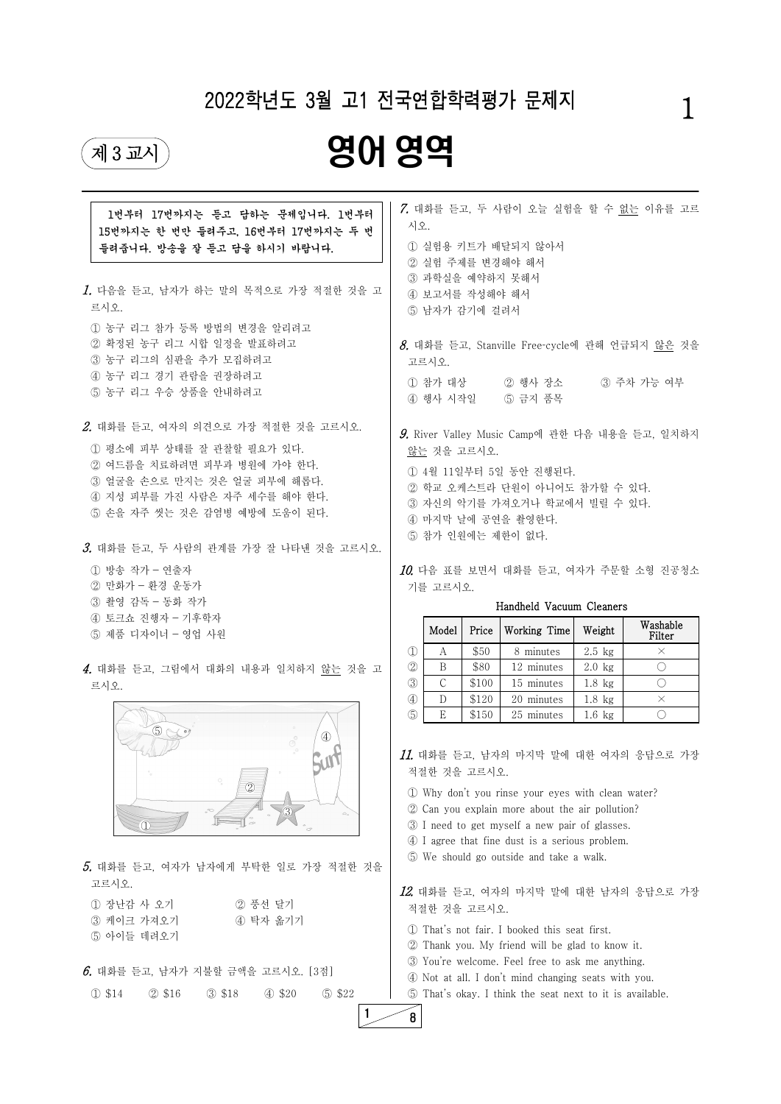

| 5. 대화를 듣고, 여자가 남자에게 부탁한 일로 가장 적절한 것을                                    | $\left(\right)$ |
|-------------------------------------------------------------------------|-----------------|
| 고르시오.<br>1 장난감 사 오기<br>2 풍선 달기<br>3 케이크 가져오기<br>4) 탁자 옮기기<br>5 아이들 데려오기 | 12.<br>Ž<br>C   |
| $6.$ 대화를 듣고, 남자가 지불할 금액을 고르시오. [3점]                                     | G<br>(z         |

| 1번부터 17번까지는 듣고 답하는 문제입니다. 1번부터<br>15번까지는 한 번만 들려주고, 16번부터 17번까지는 두 번<br>들려줍니다. 방송을 잘 듣고 답을 하시기 바랍니다.<br><i>1.</i> 다음을 듣고, 남자가 하는 말의 목적으로 가장 적절한 것을 고<br>르시오.<br>① 농구 리그 참가 등록 방법의 변경을 알리려고<br>② 확정된 농구 리그 시합 일정을 발표하려고<br>3 농구 리그의 심판을 추가 모집하려고<br>4) 농구 리그 경기 관람을 권장하려고<br>5 농구 리그 우승 상품을 안내하려고 | 7. 대화를 듣고, 두 사람이 오늘 실험을 할 수 없는 이유를 고르<br>시오.<br>1) 실험용 키트가 배달되지 않아서<br>2 실험 주제를 변경해야 해서<br>3 과학실을 예약하지 못해서<br>4) 보고서를 작성해야 해서<br>5 남자가 감기에 걸려서<br>$8.$ 대화를 듣고, Stanville Free-cycle에 관해 언급되지 않은 것을<br>고르시오.<br>① 참가 대상<br>② 행사 장소<br>③ 주차 가능 여부<br>4) 행사 시작일<br>5 금지 품목                                                                                        |
|--------------------------------------------------------------------------------------------------------------------------------------------------------------------------------------------------------------------------------------------------------------------------------------------------|----------------------------------------------------------------------------------------------------------------------------------------------------------------------------------------------------------------------------------------------------------------------------------------------------------------------------------------------------------------|
| 2. 대화를 듣고, 여자의 의견으로 가장 적절한 것을 고르시오.<br>1 평소에 피부 상태를 잘 관찰할 필요가 있다.<br>② 여드름을 치료하려면 피부과 병원에 가야 한다.<br>3 얼굴을 손으로 만지는 것은 얼굴 피부에 해롭다.<br>4 지성 피부를 가진 사람은 자주 세수를 해야 한다.<br>5 손을 자주 씻는 것은 감염병 예방에 도움이 된다.<br>3. 대화를 듣고, 두 사람의 관계를 가장 잘 나타낸 것을 고르시오.                                                     | 9. River Valley Music Camp에 관한 다음 내용을 듣고, 일치하지<br>않는 것을 고르시오.<br>1 4월 11일부터 5일 동안 진행된다.<br>2 학교 오케스트라 단원이 아니어도 참가할 수 있다.<br>3 자신의 악기를 가져오거나 학교에서 빌릴 수 있다.<br>4 마지막 날에 공연을 촬영한다.<br>5 참가 인원에는 제한이 없다.                                                                                                                                                           |
| 1 방송 작가 - 연출자<br>② 만화가 - 환경 운동가<br>3 촬영 감독 - 동화 작가<br>4 토크쇼 진행자 - 기후학자<br>5 제품 디자이너 - 영업 사원                                                                                                                                                                                                      | 10. 다음 표를 보면서 대화를 듣고, 여자가 주문할 소형 진공청소<br>기를 고르시오.<br>Handheld Vacuum Cleaners<br>Washable<br>Price<br>Working Time<br>Weight<br>Model<br>Filter                                                                                                                                                                                                                |
| 4. 대화를 듣고, 그림에서 대화의 내용과 일치하지 않는 것을 고<br>르시오.<br>5<br>$\bigcircled{4}$                                                                                                                                                                                                                            | $\mathbb{O}$<br>\$50<br>$2.5$ kg<br>8 minutes<br>$\times$<br>A<br>$\circled{2}$<br>\$80<br>$\bigcirc$<br>B<br>12 minutes<br>$2.0$ kg<br>$\circled{3}$<br>15 minutes<br>$\bigcirc$<br>C<br>\$100<br>$1.8$ kg<br>$\bigcirc$<br>20 minutes<br>\$120<br>$1.8$ kg<br>$\mathcal{D}$<br>$\times$<br>$\circledS$<br>25 minutes<br>$\bigcirc$<br>E<br>\$150<br>$1.6$ kg |

 $11.$  대화를 듣고, 남자의 마지막 말에 대한 여자의 응답으로 가장 적절한 것을 고르시오.

① \$14 ② \$16 ③ \$18 ④ \$20 ⑤ \$22

 $\circledZ$ 

 $\bigcirc$ 

Cur

 $\overline{0}$ 

① Why don't you rinse your eyes with clean water?

- ② Can you explain more about the air pollution?
- ③ I need to get myself a new pair of glasses.

④ I agree that fine dust is a serious problem. ⑤ We should go outside and take a walk.

12. 대화를 듣고, 여자의 마지막 말에 대한 남자의 응답으로 가장 적절한 것을 고르시오.

① That's not fair. I booked this seat first. ② Thank you. My friend will be glad to know it. ③ You're welcome. Feel free to ask me anything. ④ Not at all. I don't mind changing seats with you. ⑤ That's okay. I think the seat next to it is available.

# 2022학년도 3월 고1 전국연합학력평가 문제지

# 제3교시 90 역 역 역

1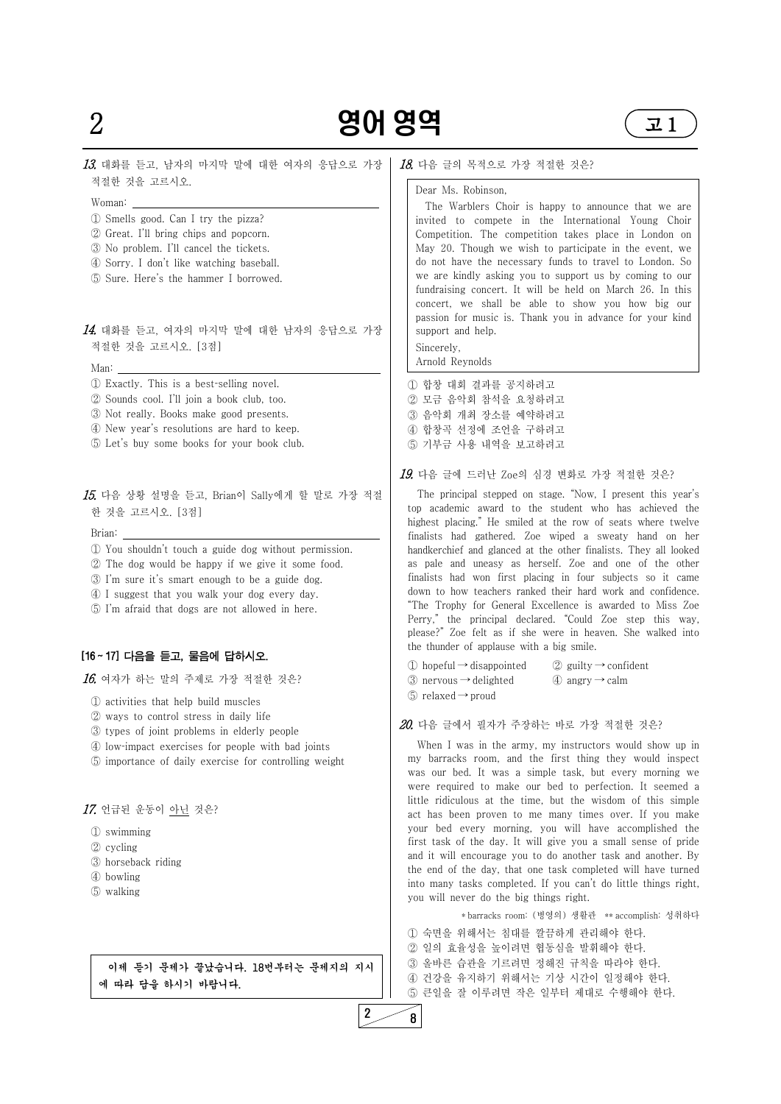# $2$  **영어 영역**  $\left( 1\right)$

13. 대화를 듣고, 남자의 마지막 말에 대한 여자의 응답으로 가장 적절한 것을 고르시오.

# $14.$  대화를 듣고, 여자의 마지막 말에 대한 남자의 응답으로 가장 적절한 것을 고르시오. [3점]

- Woman: ① Smells good. Can I try the pizza?
- ② Great. I'll bring chips and popcorn.
- ③ No problem. I'll cancel the tickets.
- ④ Sorry. I don't like watching baseball.
- ⑤ Sure. Here's the hammer I borrowed.

- Man: ① Exactly. This is a bestselling novel.
- ② Sounds cool. I'll join a book club, too.
- ③ Not really. Books make good presents.
- ④ New year's resolutions are hard to keep.
- ⑤ Let's buy some books for your book club.

15. 다음 상황 설명을 듣고, Brian이 Sally에게 할 말로 가장 적절 한 것을 고르시오. [3점]

- Brian: ① You shouldn't touch a guide dog without permission.
- ② The dog would be happy if we give it some food.
- ③ I'm sure it's smart enough to be a guide dog.
- ④ I suggest that you walk your dog every day.
- ⑤ I'm afraid that dogs are not allowed in here.

# [16 ~ 17] 다음을 듣고, 물음에 답하시오.

 $16.$  여자가 하는 말의 주제로 가장 적절한 것은?

- ① activities that help build muscles
- ② ways to control stress in daily life
- ③ types of joint problems in elderly people
- ④ lowimpact exercises for people with bad joints
- ⑤ importance of daily exercise for controlling weight

## 17. 언급된 운동이 아닌 것은?

① swimming

② cycling ③ horseback riding ④ bowling ⑤ walking

> 이제 듣기 문제가 끝났습니다. 18번부터는 문제지의 지시 에 따라 답을 하시기 바랍니다.

# 18. 다음 글의 목적으로 가장 적절한 것은?

### Dear Ms. Robinson,

① hopeful → disappointed ② guilty → confident ③ nervous → delighted ④ angry → calm  $\circled{5}$  relaxed  $\rightarrow$  proud

The Warblers Choir is happy to announce that we are invited to compete in the International Young Choir Competition. The competition takes place in London on May 20. Though we wish to participate in the event, we do not have the necessary funds to travel to London. So we are kindly asking you to support us by coming to our fundraising concert. It will be held on March 26. In this concert, we shall be able to show you how big our passion for music is. Thank you in advance for your kind support and help.

Sincerely,

Arnold Reynolds

- ① 합창 대회 결과를 공지하려고 ② 모금 음악회 참석을 요청하려고
- ③ 음악회 개최 장소를 예약하려고
- ④ 합창곡 선정에 조언을 구하려고 ⑤ 기부금 사용 내역을 보고하려고

19. 다음 글에 드러난 Zoe의 심경 변화로 가장 적절한 것은?

The principal stepped on stage. "Now, I present this year's top academic award to the student who has achieved the highest placing." He smiled at the row of seats where twelve finalists had gathered. Zoe wiped a sweaty hand on her handkerchief and glanced at the other finalists. They all looked as pale and uneasy as herself. Zoe and one of the other finalists had won first placing in four subjects so it came down to how teachers ranked their hard work and confidence. "The Trophy for General Excellence is awarded to Miss Zoe Perry," the principal declared. "Could Zoe step this way, please?" Zoe felt as if she were in heaven. She walked into the thunder of applause with a big smile.

20. 다음 글에서 필자가 주장하는 바로 가장 적절한 것은?

When I was in the army, my instructors would show up in my barracks room, and the first thing they would inspect was our bed. It was a simple task, but every morning we were required to make our bed to perfection. It seemed a little ridiculous at the time, but the wisdom of this simple act has been proven to me many times over. If you make your bed every morning, you will have accomplished the first task of the day. It will give you a small sense of pride and it will encourage you to do another task and another. By the end of the day, that one task completed will have turned into many tasks completed. If you can't do little things right, you will never do the big things right.

\* barracks room: (병영의) 생활관 \*\* accomplish: 성취하다

① 숙면을 위해서는 침대를 깔끔하게 관리해야 한다. ② 일의 효율성을 높이려면 협동심을 발휘해야 한다. ③ 올바른 습관을 기르려면 정해진 규칙을 따라야 한다. ④ 건강을 유지하기 위해서는 기상 시간이 일정해야 한다. ⑤ 큰일을 잘 이루려면 작은 일부터 제대로 수행해야 한다.

 $2\frac{8}{ }$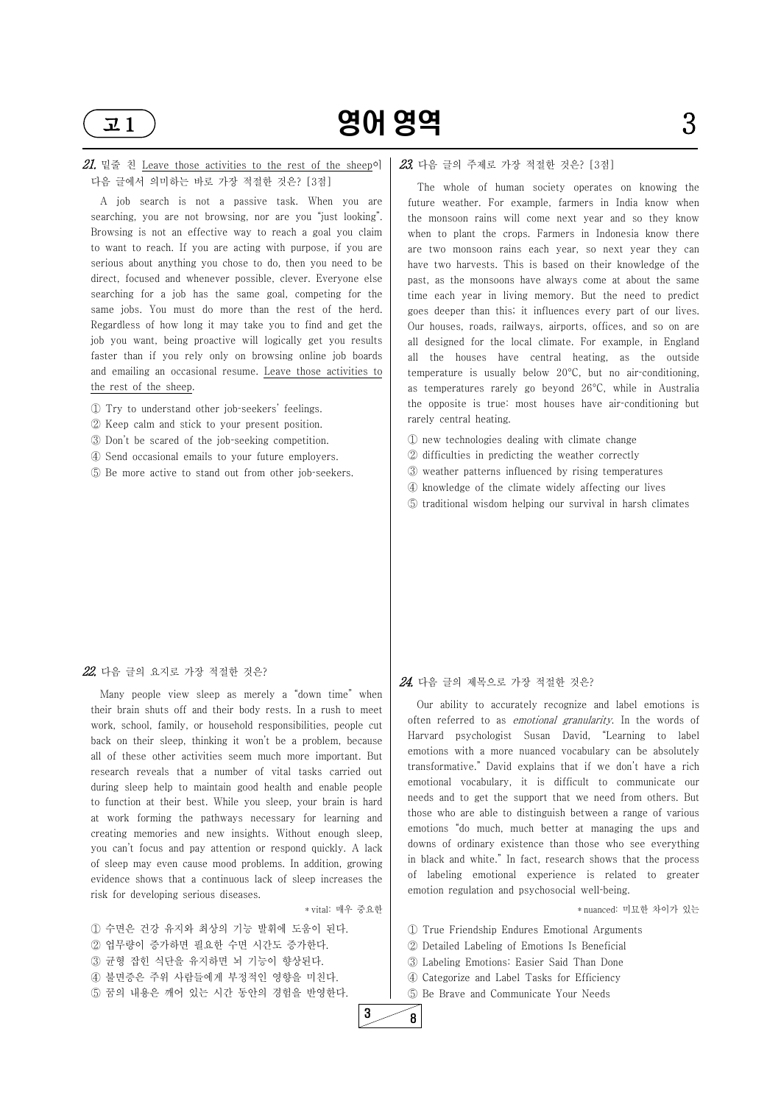

# $21$  90 영어 영역 and 3

## 21. 밑줄 친 Leave those activities to the rest of the sheep이 다음 글에서 의미하는 바로 가장 적절한 것은? [3점]

A job search is not a passive task. When you are searching, you are not browsing, nor are you "just looking". Browsing is not an effective way to reach a goal you claim to want to reach. If you are acting with purpose, if you are serious about anything you chose to do, then you need to be direct, focused and whenever possible, clever. Everyone else searching for a job has the same goal, competing for the same jobs. You must do more than the rest of the herd. Regardless of how long it may take you to find and get the job you want, being proactive will logically get you results faster than if you rely only on browsing online job boards and emailing an occasional resume. Leave those activities to the rest of the sheep.

- ① Try to understand other jobseekers' feelings.
- ② Keep calm and stick to your present position.
- ③ Don't be scared of the jobseeking competition.
- ④ Send occasional emails to your future employers.
- ⑤ Be more active to stand out from other jobseekers.

### 22. 다음 글의 요지로 가장 적절한 것은?

Many people view sleep as merely a "down time" when their brain shuts off and their body rests. In a rush to meet work, school, family, or household responsibilities, people cut back on their sleep, thinking it won't be a problem, because all of these other activities seem much more important. But research reveals that a number of vital tasks carried out during sleep help to maintain good health and enable people to function at their best. While you sleep, your brain is hard at work forming the pathways necessary for learning and creating memories and new insights. Without enough sleep, you can't focus and pay attention or respond quickly. A lack of sleep may even cause mood problems. In addition, growing evidence shows that a continuous lack of sleep increases the risk for developing serious diseases.

downs of ordinary existence than those who see everything in black and white." In fact, research shows that the process of labeling emotional experience is related to greater emotion regulation and psychosocial well-being.

\* vital: 매우 중요한

① 수면은 건강 유지와 최상의 기능 발휘에 도움이 된다. ② 업무량이 증가하면 필요한 수면 시간도 증가한다. ③ 균형 잡힌 식단을 유지하면 뇌 기능이 향상된다. ④ 불면증은 주위 사람들에게 부정적인 영향을 미친다. ⑤ 꿈의 내용은 깨어 있는 시간 동안의 경험을 반영한다.

### 23. 다음 글의 주제로 가장 적절한 것은? [3점]

The whole of human society operates on knowing the future weather. For example, farmers in India know when the monsoon rains will come next year and so they know when to plant the crops. Farmers in Indonesia know there are two monsoon rains each year, so next year they can have two harvests. This is based on their knowledge of the past, as the monsoons have always come at about the same time each year in living memory. But the need to predict goes deeper than this; it influences every part of our lives. Our houses, roads, railways, airports, offices, and so on are all designed for the local climate. For example, in England all the houses have central heating, as the outside temperature is usually below  $20^{\circ}$ C, but no air-conditioning, as temperatures rarely go beyond 26°C, while in Australia the opposite is true: most houses have air-conditioning but rarely central heating.

- ① new technologies dealing with climate change
- ② difficulties in predicting the weather correctly
- ③ weather patterns influenced by rising temperatures
- ④ knowledge of the climate widely affecting our lives
- ⑤ traditional wisdom helping our survival in harsh climates

### 24. 다음 글의 제목으로 가장 적절한 것은?

Our ability to accurately recognize and label emotions is often referred to as *emotional granularity*. In the words of Harvard psychologist Susan David, "Learning to label emotions with a more nuanced vocabulary can be absolutely transformative." David explains that if we don't have a rich emotional vocabulary, it is difficult to communicate our needs and to get the support that we need from others. But those who are able to distinguish between a range of various emotions "do much, much better at managing the ups and

```
* nuanced: 미묘한 차이가 있는
```
① True Friendship Endures Emotional Arguments ② Detailed Labeling of Emotions Is Beneficial ③ Labeling Emotions: Easier Said Than Done ④ Categorize and Label Tasks for Efficiency ⑤ Be Brave and Communicate Your Needs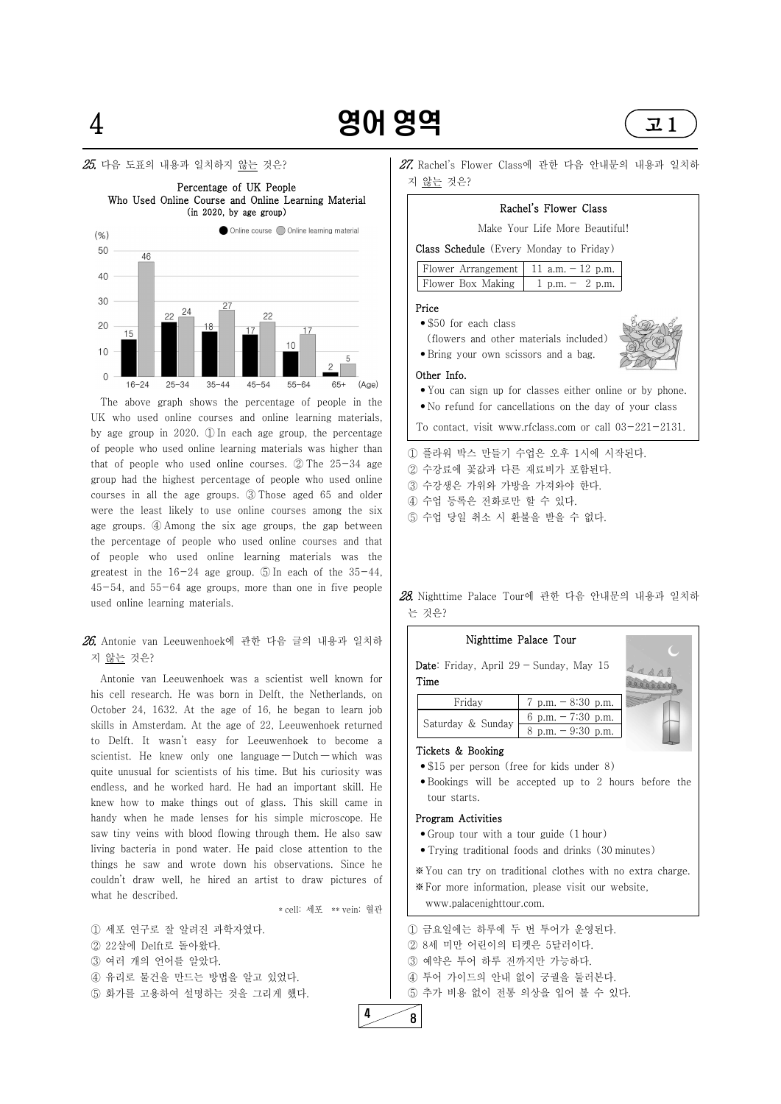# $4$  **영어 영역**  $\left($  고 1

## $25$  다음 도표의 내용과 일치하지 <u>않는</u> 것은?





The above graph shows the percentage of people in the UK who used online courses and online learning materials, by age group in 2020. ① In each age group, the percentage of people who used online learning materials was higher than that of people who used online courses.  $\mathcal{Q}$  The 25-34 age group had the highest percentage of people who used online courses in all the age groups. ③ Those aged 65 and older were the least likely to use online courses among the six age groups. ④ Among the six age groups, the gap between the percentage of people who used online courses and that of people who used online learning materials was the greatest in the  $16-24$  age group.  $\odot$  In each of the  $35-44$ , 45-54, and 55-64 age groups, more than one in five people used online learning materials.

# 26. Antonie van Leeuwenhoek에 관한 다음 글의 내용과 일치하 지 않는 것은?

27. Rachel's Flower Class에 관한 다음 안내문의 내용과 일치하 지 않는 것은?

Date: Friday, April 29 - Sunday, May 15 Time

Antonie van Leeuwenhoek was a scientist well known for his cell research. He was born in Delft, the Netherlands, on October 24, 1632. At the age of 16, he began to learn job skills in Amsterdam. At the age of 22, Leeuwenhoek returned to Delft. It wasn't easy for Leeuwenhoek to become a scientist. He knew only one language  $-Dutch$  which was quite unusual for scientists of his time. But his curiosity was endless, and he worked hard. He had an important skill. He knew how to make things out of glass. This skill came in handy when he made lenses for his simple microscope. He saw tiny veins with blood flowing through them. He also saw living bacteria in pond water. He paid close attention to the things he saw and wrote down his observations. Since he couldn't draw well, he hired an artist to draw pictures of what he described.

- \$15 per person (free for kids under 8)
- Bookings will be accepted up to 2 hours before the tour starts.

\* cell: 세포 \*\* vein: 혈관

① 세포 연구로 잘 알려진 과학자였다. ② 22살에 Delft로 돌아왔다. ③ 여러 개의 언어를 알았다. ④ 유리로 물건을 만드는 방법을 알고 있었다. ⑤ 화가를 고용하여 설명하는 것을 그리게 했다.

### Rachel's Flower Class

Make Your Life More Beautiful!

Class Schedule (Every Monday to Friday)

| Flower Arrangement   11 a.m. $-12$ p.m. |                   |
|-----------------------------------------|-------------------|
| Flower Box Making                       | 1 p.m. $-$ 2 p.m. |

### Price

• \$50 for each class



(flowers and other materials included)

• Bring your own scissors and a bag.

### Other Info.

- You can sign up for classes either online or by phone.
- No refund for cancellations on the day of your class

To contact, visit www.rfclass.com or call 03-221-2131.

① 플라워 박스 만들기 수업은 오후 1시에 시작된다. ② 수강료에 꽃값과 다른 재료비가 포함된다. ③ 수강생은 가위와 가방을 가져와야 한다. ④ 수업 등록은 전화로만 할 수 있다. ⑤ 수업 당일 취소 시 환불을 받을 수 없다.

28. Nighttime Palace Tour에 관한 다음 안내문의 내용과 일치하 는 것은?

# Nighttime Palace Tour

| Friday            | 7 p.m. $-8:30$ p.m. |  |
|-------------------|---------------------|--|
| Saturday & Sunday | 6 p.m. $-7:30$ p.m. |  |
|                   | 8 p.m. $-9:30$ p.m. |  |

### Tickets & Booking

### Program Activities

 $4\bigg)$ 



• Group tour with a tour guide (1 hour)

• Trying traditional foods and drinks (30 minutes)

※ You can try on traditional clothes with no extra charge. ※ For more information, please visit our website, www.palacenighttour.com.

① 금요일에는 하루에 두 번 투어가 운영된다. ② 8세 미만 어린이의 티켓은 5달러이다. ③ 예약은 투어 하루 전까지만 가능하다. ④ 투어 가이드의 안내 없이 궁궐을 둘러본다. ⑤ 추가 비용 없이 전통 의상을 입어 볼 수 있다.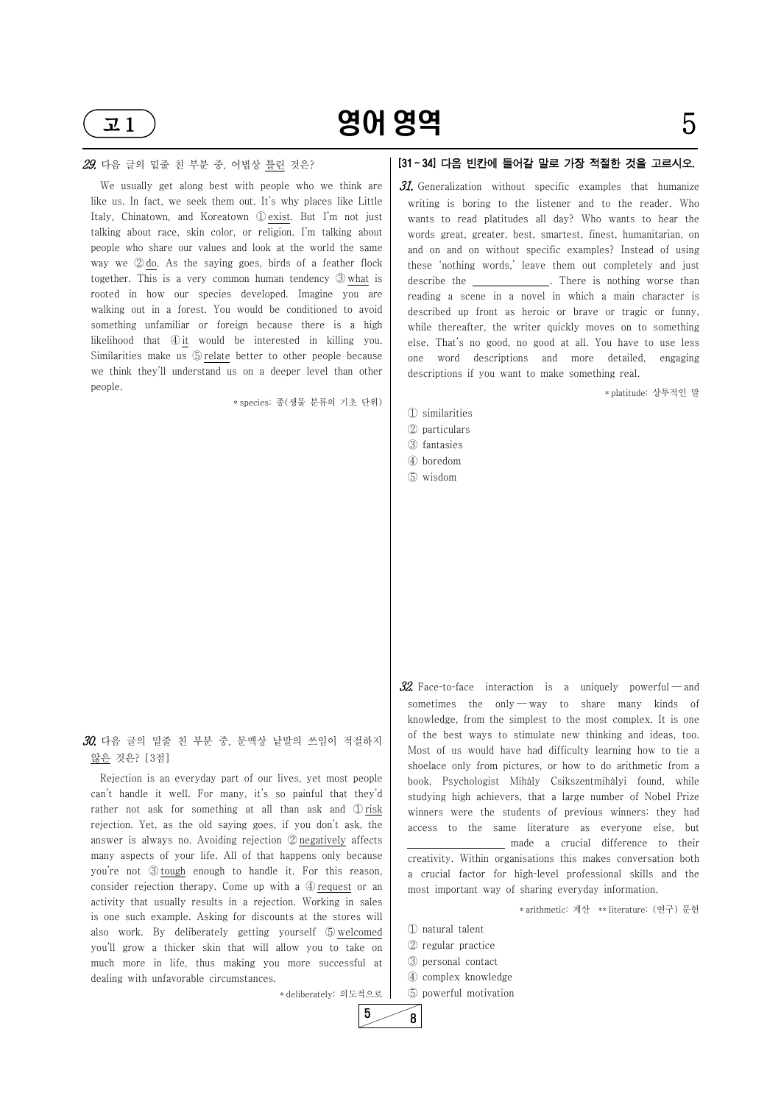# $\overline{1}$   $\overline{2}$  90 영역 5

## 29. 다음 글의 밑줄 친 부분 중, 어법상 틀린 것은?

We usually get along best with people who we think are like us. In fact, we seek them out. It's why places like Little Italy, Chinatown, and Koreatown ① exist. But I'm not just talking about race, skin color, or religion. I'm talking about people who share our values and look at the world the same way we ② do. As the saying goes, birds of a feather flock together. This is a very common human tendency ③ what is rooted in how our species developed. Imagine you are walking out in a forest. You would be conditioned to avoid something unfamiliar or foreign because there is a high likelihood that ④ it would be interested in killing you. Similarities make us ⑤ relate better to other people because we think they'll understand us on a deeper level than other people.

# $30$ . 다음 글의 밑줄 친 부분 중, 문맥상 낱말의 쓰임이 적절하지 않은 것은? [3점]

\* species: 종(생물 분류의 기초 단위)

Rejection is an everyday part of our lives, yet most people can't handle it well. For many, it's so painful that they'd rather not ask for something at all than ask and ① risk rejection. Yet, as the old saying goes, if you don't ask, the  $31.$  Generalization without specific examples that humanize writing is boring to the listener and to the reader. Who wants to read platitudes all day? Who wants to hear the words great, greater, best, smartest, finest, humanitarian, on and on and on without specific examples? Instead of using these 'nothing words,' leave them out completely and just describe the \_\_\_\_\_\_\_\_\_\_\_\_\_\_. There is nothing worse than reading a scene in a novel in which a main character is described up front as heroic or brave or tragic or funny, while thereafter, the writer quickly moves on to something else. That's no good, no good at all. You have to use less one word descriptions and more detailed, engaging descriptions if you want to make something real.

answer is always no. Avoiding rejection ② negatively affects many aspects of your life. All of that happens only because you're not ③ tough enough to handle it. For this reason, consider rejection therapy. Come up with a ④ request or an activity that usually results in a rejection. Working in sales is one such example. Asking for discounts at the stores will also work. By deliberately getting yourself ⑤ welcomed you'll grow a thicker skin that will allow you to take on much more in life, thus making you more successful at dealing with unfavorable circumstances.

 $32.$  Face-to-face interaction is a uniquely powerful — and sometimes the only — way to share many kinds of knowledge, from the simplest to the most complex. It is one of the best ways to stimulate new thinking and ideas, too. Most of us would have had difficulty learning how to tie a shoelace only from pictures, or how to do arithmetic from a book. Psychologist Mihàly Csikszentmihàlyi found, while studying high achievers, that a large number of Nobel Prize winners were the students of previous winners: they had access to the same literature as everyone else, but

\* deliberately: 의도적으로

# [31 ~ 34] 다음 빈칸에 들어갈 말로 가장 적절한 것을 고르시오.

\* platitude: 상투적인 말

- ① similarities
- ② particulars
- ③ fantasies
- ④ boredom
- ⑤ wisdom

 made a crucial difference to their creativity. Within organisations this makes conversation both a crucial factor for high-level professional skills and the most important way of sharing everyday information.

\* arithmetic: 계산 \*\* literature: (연구) 문헌

① natural talent ② regular practice ③ personal contact ④ complex knowledge ⑤ powerful motivation

 $5 \ 8$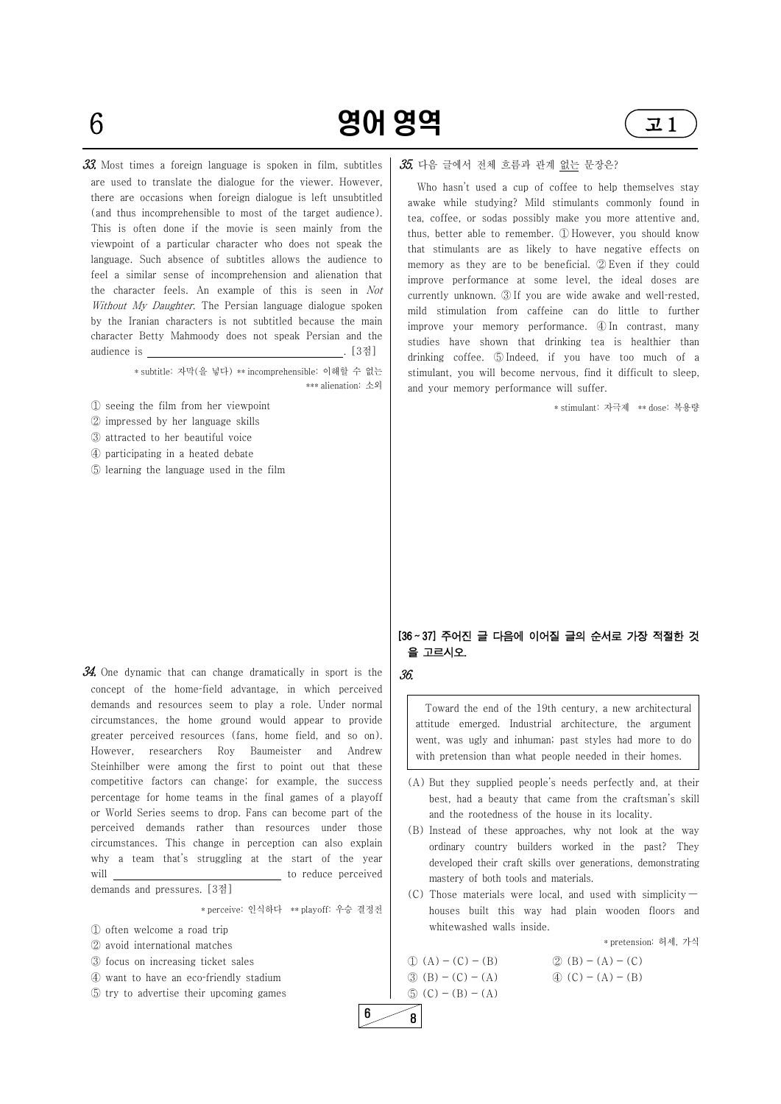$6$  **영어 영역**  $\left( 1\right)$ 

 $33$ . Most times a foreign language is spoken in film, subtitles are used to translate the dialogue for the viewer. However, there are occasions when foreign dialogue is left unsubtitled (and thus incomprehensible to most of the target audience). This is often done if the movie is seen mainly from the viewpoint of a particular character who does not speak the language. Such absence of subtitles allows the audience to feel a similar sense of incomprehension and alienation that the character feels. An example of this is seen in Not Without My Daughter. The Persian language dialogue spoken by the Iranian characters is not subtitled because the main character Betty Mahmoody does not speak Persian and the audience is . [3점]

> \* subtitle: 자막(을 넣다) \*\* incomprehensible: 이해할 수 없는 \*\*\* alienation: 소외

 $34$ . One dynamic that can change dramatically in sport is the concept of the home-field advantage, in which perceived demands and resources seem to play a role. Under normal circumstances, the home ground would appear to provide greater perceived resources (fans, home field, and so on). However, researchers Roy Baumeister and Andrew Steinhilber were among the first to point out that these competitive factors can change; for example, the success percentage for home teams in the final games of a playoff or World Series seems to drop. Fans can become part of the perceived demands rather than resources under those

### $35.$  다음 글에서 전체 흐름과 관계 없는 문장은?

- ① seeing the film from her viewpoint
- ② impressed by her language skills
- ③ attracted to her beautiful voice
- ④ participating in a heated debate
- ⑤ learning the language used in the film

circumstances. This change in perception can also explain why a team that's struggling at the start of the year will to reduce perceived demands and pressures. [3점]

\* perceive: 인식하다 \*\* playoff: 우승 결정전

① often welcome a road trip

② avoid international matches

③ focus on increasing ticket sales

④ want to have an ecofriendly stadium ⑤ try to advertise their upcoming games

Who hasn't used a cup of coffee to help themselves stay awake while studying? Mild stimulants commonly found in tea, coffee, or sodas possibly make you more attentive and, thus, better able to remember. ① However, you should know that stimulants are as likely to have negative effects on memory as they are to be beneficial. ② Even if they could improve performance at some level, the ideal doses are currently unknown. 3 If you are wide awake and well-rested, mild stimulation from caffeine can do little to further improve your memory performance. ④ In contrast, many studies have shown that drinking tea is healthier than drinking coffee. ⑤ Indeed, if you have too much of a stimulant, you will become nervous, find it difficult to sleep, and your memory performance will suffer.

\* stimulant: 자극제 \*\* dose: 복용량

# [36 ~ 37] 주어진 글 다음에 이어질 글의 순서로 가장 적절한 것 을 고르시오.

### 36.

 $6 \fbox{8}$ 

Toward the end of the 19th century, a new architectural attitude emerged. Industrial architecture, the argument went, was ugly and inhuman; past styles had more to do with pretension than what people needed in their homes.

- (A) But they supplied people's needs perfectly and, at their best, had a beauty that came from the craftsman's skill and the rootedness of the house in its locality.
- (B) Instead of these approaches, why not look at the way

- ordinary country builders worked in the past? They developed their craft skills over generations, demonstrating mastery of both tools and materials.
- (C) Those materials were local, and used with simplicity  $$ houses built this way had plain wooden floors and whitewashed walls inside.

\* pretension: 허세, 가식

| $(1) (A) - (C) - (B)$             | $(2)(B) - (A) - (C)$              |
|-----------------------------------|-----------------------------------|
| $\textcircled{3}$ (B) – (C) – (A) | $\textcircled{4}$ (C) – (A) – (B) |
| $\circled{5}$ (C) – (B) – (A)     |                                   |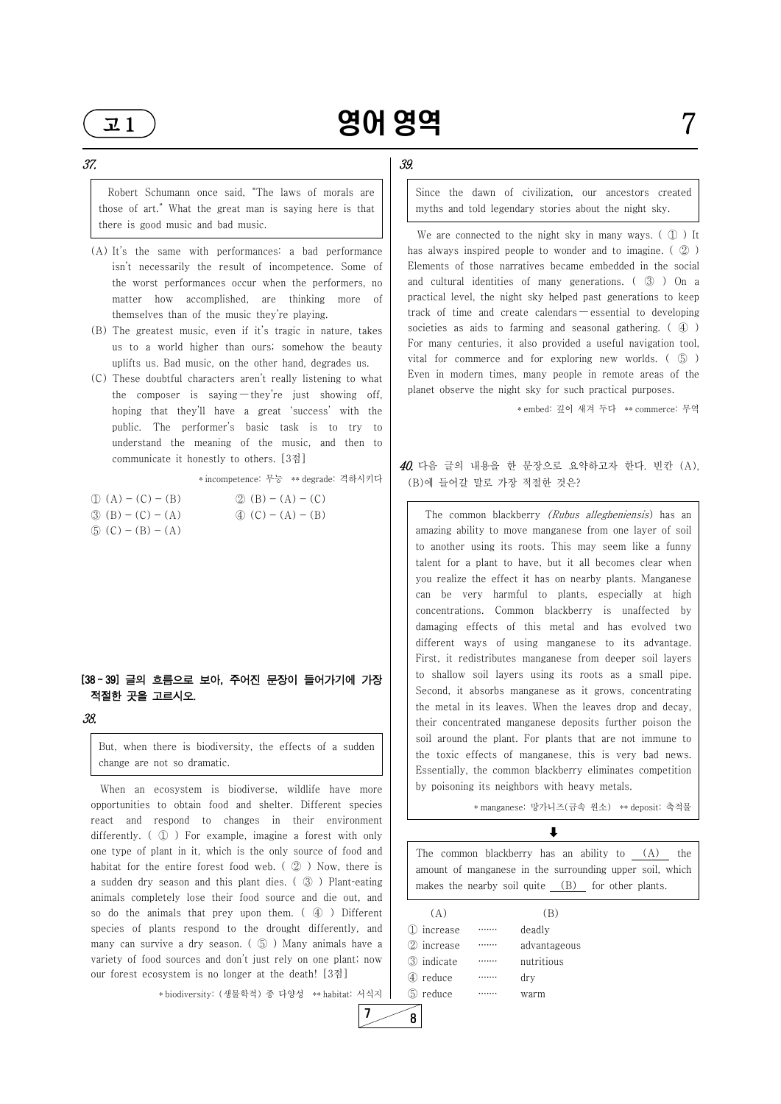# $\overline{21}$  90 영역

Robert Schumann once said, "The laws of morals are those of art." What the great man is saying here is that there is good music and bad music.

- (A) It's the same with performances: a bad performance isn't necessarily the result of incompetence. Some of the worst performances occur when the performers, no matter how accomplished, are thinking more of themselves than of the music they're playing.
- (B) The greatest music, even if it's tragic in nature, takes us to a world higher than ours; somehow the beauty uplifts us. Bad music, on the other hand, degrades us.
- (C) These doubtful characters aren't really listening to what the composer is saying — they're just showing off, hoping that they'll have a great 'success' with the public. The performer's basic task is to try to understand the meaning of the music, and then to communicate it honestly to others. [3점]

\* incompetence: 무능 \*\* degrade: 격하시키다

- $\textcircled{1}$  (A) (C) (B)  $\textcircled{2}$  (B) (A) (C)
- $\textcircled{3}$  (B) (C) (A)  $\textcircled{4}$  (C) (A) (B)
- $\circled{5}$  (C) (B) (A)

## [38 ~ 39] 글의 흐름으로 보아, 주어진 문장이 들어가기에 가장 적절한 곳을 고르시오.

38.

But, when there is biodiversity, the effects of a sudden change are not so dramatic.

When an ecosystem is biodiverse, wildlife have more opportunities to obtain food and shelter. Different species react and respond to changes in their environment differently. ( ① ) For example, imagine a forest with only one type of plant in it, which is the only source of food and habitat for the entire forest food web.  $\left( \varnothing \right)$  Now, there is a sudden dry season and this plant dies.  $(\circled{3})$  Plant-eating animals completely lose their food source and die out, and so do the animals that prey upon them. (4) Different species of plants respond to the drought differently, and  $\int$ many can survive a dry season. (  $\circled{5}$  ) Many animals have a  $\circled{6}$ variety of food sources and don't just rely on one plant; now | our forest ecosystem is no longer at the death! [3점]

The common blackberry *(Rubus allegheniensis*) has an amazing ability to move manganese from one layer of soil to another using its roots. This may seem like a funny talent for a plant to have, but it all becomes clear when you realize the effect it has on nearby plants. Manganese can be very harmful to plants, especially at high concentrations. Common blackberry is unaffected by damaging effects of this metal and has evolved two different ways of using manganese to its advantage. First, it redistributes manganese from deeper soil layers to shallow soil layers using its roots as a small pipe. Second, it absorbs manganese as it grows, concentrating the metal in its leaves. When the leaves drop and decay, their concentrated manganese deposits further poison the soil around the plant. For plants that are not immune to the toxic effects of manganese, this is very bad news. Essentially, the common blackberry eliminates competition by poisoning its neighbors with heavy metals.

The common blackberry has an ability to (A) the amount of manganese in the surrounding upper soil, which makes the nearby soil quite (B) for other plants.

\* biodiversity: (생물학적) 종 다양성 \*\* habitat: 서식지

## $\downarrow$

# 39.

Since the dawn of civilization, our ancestors created myths and told legendary stories about the night sky.

We are connected to the night sky in many ways. ( ① ) It has always inspired people to wonder and to imagine. ( ② ) Elements of those narratives became embedded in the social and cultural identities of many generations. ( ③ ) On a practical level, the night sky helped past generations to keep track of time and create calendars — essential to developing societies as aids to farming and seasonal gathering.  $( \varphi )$ For many centuries, it also provided a useful navigation tool, vital for commerce and for exploring new worlds. ( ⑤ ) Even in modern times, many people in remote areas of the planet observe the night sky for such practical purposes.

\* embed: 깊이 새겨 두다 \*\* commerce: 무역

# 40. 다음 글의 내용을 한 문장으로 요약하고자 한다. 빈칸 (A), (B)에 들어갈 말로 가장 적절한 것은?

\* manganese: 망가니즈(금속 원소) \*\* deposit: 축적물

| (A)           | (B)          |  |
|---------------|--------------|--|
| 1) increase   | deadly       |  |
| 2 increase    | advantageous |  |
| 3 indicate    | nutritious   |  |
| 4 reduce      | <br>dry      |  |
| reduce<br>(h) | warm         |  |

 $7 \ 8$